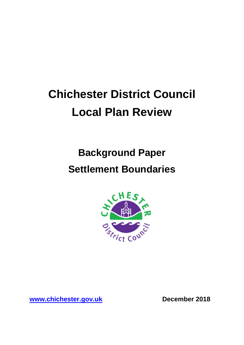# **Chichester District Council Local Plan Review**

# **Background Paper Settlement Boundaries**



**[www.chichester.gov.uk](http://www.chichester.gov.uk/) December 2018**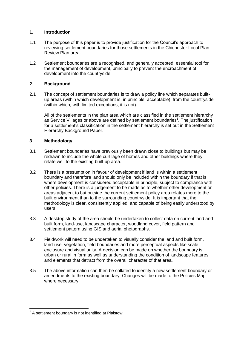## **1. Introduction**

- 1.1 The purpose of this paper is to provide justification for the Council's approach to reviewing settlement boundaries for those settlements in the Chichester Local Plan Review Plan area.
- 1.2 Settlement boundaries are a recognised, and generally accepted, essential tool for the management of development, principally to prevent the encroachment of development into the countryside.

# **2. Background**

2.1 The concept of settlement boundaries is to draw a policy line which separates builtup areas (within which development is, in principle, acceptable), from the countryside (within which, with limited exceptions, it is not).

All of the settlements in the plan area which are classified in the settlement hierarchy as Service Villages or above are defined by settlement boundaries<sup>1</sup>. The justification for a settlement's classification in the settlement hierarchy is set out in the Settlement Hierarchy Background Paper.

## **3. Methodology**

- 3.1 Settlement boundaries have previously been drawn close to buildings but may be redrawn to include the whole curtilage of homes and other buildings where they relate well to the existing built-up area.
- 3.2 There is a presumption in favour of development if land is within a settlement boundary and therefore land should only be included within the boundary if that is where development is considered acceptable in principle, subject to compliance with other policies. There is a judgement to be made as to whether other development or areas adjacent to but outside the current settlement policy area relates more to the built environment than to the surrounding countryside. It is important that the methodology is clear, consistently applied, and capable of being easily understood by users.
- 3.3 A desktop study of the area should be undertaken to collect data on current land and built form, land-use, landscape character, woodland cover, field pattern and settlement pattern using GIS and aerial photographs.
- 3.4 Fieldwork will need to be undertaken to visually consider the land and built form, land-use, vegetation, field boundaries and more perceptual aspects like scale, enclosure and visual unity. A decision can be made on whether the boundary is urban or rural in form as well as understanding the condition of landscape features and elements that detract from the overall character of that area.
- 3.5 The above information can then be collated to identify a new settlement boundary or amendments to the existing boundary. Changes will be made to the Policies Map where necessary.

 1 A settlement boundary is not identified at Plaistow.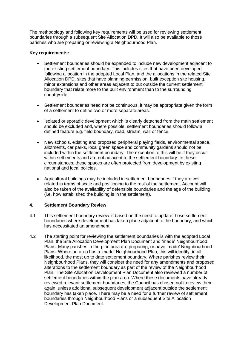The methodology and following key requirements will be used for reviewing settlement boundaries through a subsequent Site Allocation DPD. It will also be available to those parishes who are preparing or reviewing a Neighbourhood Plan.

### **Key requirements:**

- Settlement boundaries should be expanded to include new development adjacent to the existing settlement boundary. This includes sites that have been developed following allocation in the adopted Local Plan, and the allocations in the related Site Allocation DPD, sites that have planning permission, built exception site housing, minor extensions and other areas adjacent to but outside the current settlement boundary that relate more to the built environment than to the surrounding countryside.
- Settlement boundaries need not be continuous, it may be appropriate given the form of a settlement to define two or more separate areas.
- Isolated or sporadic development which is clearly detached from the main settlement should be excluded and, where possible, settlement boundaries should follow a defined feature e.g. field boundary, road, stream, wall or fence.
- New schools, existing and proposed peripheral playing fields, environmental space, allotments, car parks, local green space and community gardens should not be included within the settlement boundary. The exception to this will be if they occur within settlements and are not adjacent to the settlement boundary. In these circumstances, these spaces are often protected from development by existing national and local policies.
- Agricultural buildings may be included in settlement boundaries if they are well related in terms of scale and positioning to the rest of the settlement. Account will also be taken of the availability of defensible boundaries and the age of the building (i.e. how established the building is in the settlement).

#### **4. Settlement Boundary Review**

- 4.1 This settlement boundary review is based on the need to update those settlement boundaries where development has taken place adjacent to the boundary, and which has necessitated an amendment.
- 4.2 The starting point for reviewing the settlement boundaries is with the adopted Local Plan, the Site Allocation Development Plan Document and 'made' Neighbourhood Plans. Many parishes in the plan area are preparing, or have 'made' Neighbourhood Plans. Where an area has a 'made' Neighbourhood Plan, this will identify, in all likelihood, the most up to date settlement boundary. Where parishes review their Neighbourhood Plans, they will consider the need for any amendments and proposed alterations to the settlement boundary as part of the review of the Neighbourhood Plan. The Site Allocation Development Plan Document also reviewed a number of settlement boundaries within the plan area. Where these documents have already reviewed relevant settlement boundaries, the Council has chosen not to review them again, unless additional subsequent development adjacent outside the settlement boundary has taken place. There may be a need for a further review of settlement boundaries through Neighbourhood Plans or a subsequent Site Allocation Development Plan Document.